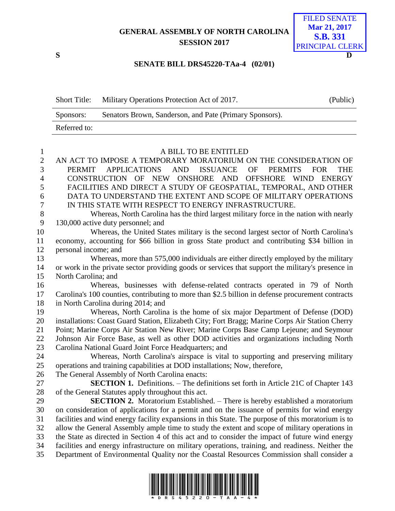## **GENERAL ASSEMBLY OF NORTH CAROLINA SESSION 2017**



## **SENATE BILL DRS45220-TAa-4 (02/01)**

| <b>Short Title:</b> | Military Operations Protection Act of 2017.             | (Public) |
|---------------------|---------------------------------------------------------|----------|
| Sponsors:           | Senators Brown, Sanderson, and Pate (Primary Sponsors). |          |
| Referred to:        |                                                         |          |

## A BILL TO BE ENTITLED

| $\overline{2}$   | AN ACT TO IMPOSE A TEMPORARY MORATORIUM ON THE CONSIDERATION OF                                                    |
|------------------|--------------------------------------------------------------------------------------------------------------------|
| 3                | ISSUANCE<br><b>APPLICATIONS</b><br>AND<br><b>OF</b><br><b>PERMITS</b><br><b>FOR</b><br><b>THE</b><br><b>PERMIT</b> |
| $\overline{4}$   | CONSTRUCTION OF NEW<br>ONSHORE AND<br>OFFSHORE WIND<br><b>ENERGY</b>                                               |
| 5                | FACILITIES AND DIRECT A STUDY OF GEOSPATIAL, TEMPORAL, AND OTHER                                                   |
| 6                | DATA TO UNDERSTAND THE EXTENT AND SCOPE OF MILITARY OPERATIONS                                                     |
| $\boldsymbol{7}$ | IN THIS STATE WITH RESPECT TO ENERGY INFRASTRUCTURE.                                                               |
| 8                | Whereas, North Carolina has the third largest military force in the nation with nearly                             |
| 9                | 130,000 active duty personnel; and                                                                                 |
| 10               | Whereas, the United States military is the second largest sector of North Carolina's                               |
| 11               | economy, accounting for \$66 billion in gross State product and contributing \$34 billion in                       |
| 12               | personal income; and                                                                                               |
| 13               | Whereas, more than 575,000 individuals are either directly employed by the military                                |
| 14               | or work in the private sector providing goods or services that support the military's presence in                  |
| 15               | North Carolina; and                                                                                                |
| 16               | Whereas, businesses with defense-related contracts operated in 79 of North                                         |
| 17               | Carolina's 100 counties, contributing to more than \$2.5 billion in defense procurement contracts                  |
| 18               | in North Carolina during 2014; and                                                                                 |
| 19               | Whereas, North Carolina is the home of six major Department of Defense (DOD)                                       |
| 20               | installations: Coast Guard Station, Elizabeth City; Fort Bragg; Marine Corps Air Station Cherry                    |
| 21               | Point; Marine Corps Air Station New River; Marine Corps Base Camp Lejeune; and Seymour                             |
| 22               | Johnson Air Force Base, as well as other DOD activities and organizations including North                          |
| 23               | Carolina National Guard Joint Force Headquarters; and                                                              |
| 24               | Whereas, North Carolina's airspace is vital to supporting and preserving military                                  |
| 25               | operations and training capabilities at DOD installations; Now, therefore,                                         |
| 26               | The General Assembly of North Carolina enacts:                                                                     |
| 27               | <b>SECTION 1.</b> Definitions. – The definitions set forth in Article 21C of Chapter 143                           |
| 28               | of the General Statutes apply throughout this act.                                                                 |
| 29               | <b>SECTION 2.</b> Moratorium Established. – There is hereby established a moratorium                               |
| 30               | on consideration of applications for a permit and on the issuance of permits for wind energy                       |
| 31               | facilities and wind energy facility expansions in this State. The purpose of this moratorium is to                 |
| 32               | allow the General Assembly ample time to study the extent and scope of military operations in                      |
| 33               | the State as directed in Section 4 of this act and to consider the impact of future wind energy                    |
| 34               | facilities and energy infrastructure on military operations, training, and readiness. Neither the                  |
| 35               | Department of Environmental Quality nor the Coastal Resources Commission shall consider a                          |